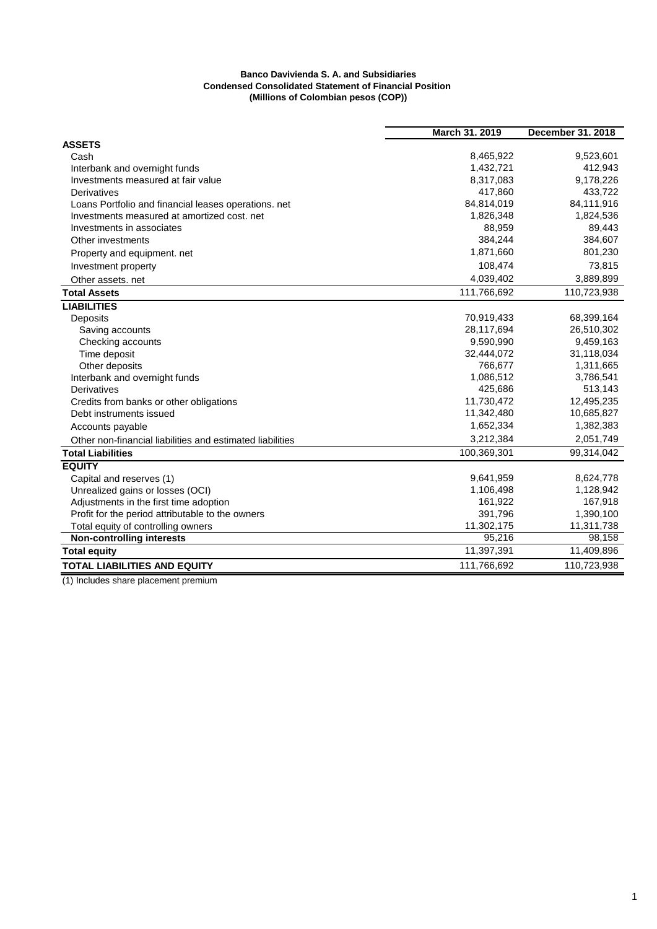## **Banco Davivienda S. A. and Subsidiaries Condensed Consolidated Statement of Financial Position (Millions of Colombian pesos (COP))**

|                                                           | March 31. 2019 | <b>December 31. 2018</b> |
|-----------------------------------------------------------|----------------|--------------------------|
| <b>ASSETS</b>                                             |                |                          |
| Cash                                                      | 8,465,922      | 9,523,601                |
| Interbank and overnight funds                             | 1,432,721      | 412,943                  |
| Investments measured at fair value                        | 8,317,083      | 9,178,226                |
| Derivatives                                               | 417,860        | 433,722                  |
| Loans Portfolio and financial leases operations. net      | 84,814,019     | 84,111,916               |
| Investments measured at amortized cost, net               | 1,826,348      | 1,824,536                |
| Investments in associates                                 | 88,959         | 89,443                   |
| Other investments                                         | 384,244        | 384,607                  |
| Property and equipment. net                               | 1,871,660      | 801,230                  |
| Investment property                                       | 108,474        | 73,815                   |
| Other assets. net                                         | 4,039,402      | 3,889,899                |
| <b>Total Assets</b>                                       | 111,766,692    | 110,723,938              |
| <b>LIABILITIES</b>                                        |                |                          |
| Deposits                                                  | 70,919,433     | 68,399,164               |
| Saving accounts                                           | 28,117,694     | 26,510,302               |
| Checking accounts                                         | 9,590,990      | 9,459,163                |
| Time deposit                                              | 32,444,072     | 31,118,034               |
| Other deposits                                            | 766,677        | 1,311,665                |
| Interbank and overnight funds                             | 1,086,512      | 3,786,541                |
| <b>Derivatives</b>                                        | 425,686        | 513,143                  |
| Credits from banks or other obligations                   | 11,730,472     | 12,495,235               |
| Debt instruments issued                                   | 11,342,480     | 10,685,827               |
| Accounts payable                                          | 1,652,334      | 1,382,383                |
| Other non-financial liabilities and estimated liabilities | 3,212,384      | 2,051,749                |
| <b>Total Liabilities</b>                                  | 100,369,301    | 99,314,042               |
| <b>EQUITY</b>                                             |                |                          |
| Capital and reserves (1)                                  | 9,641,959      | 8,624,778                |
| Unrealized gains or losses (OCI)                          | 1,106,498      | 1,128,942                |
| Adjustments in the first time adoption                    | 161,922        | 167,918                  |
| Profit for the period attributable to the owners          | 391,796        | 1,390,100                |
| Total equity of controlling owners                        | 11,302,175     | 11,311,738               |
| <b>Non-controlling interests</b>                          | 95,216         | 98,158                   |
| <b>Total equity</b>                                       | 11,397,391     | 11,409,896               |
| <b>TOTAL LIABILITIES AND EQUITY</b>                       | 111,766,692    | 110,723,938              |

(1) Includes share placement premium